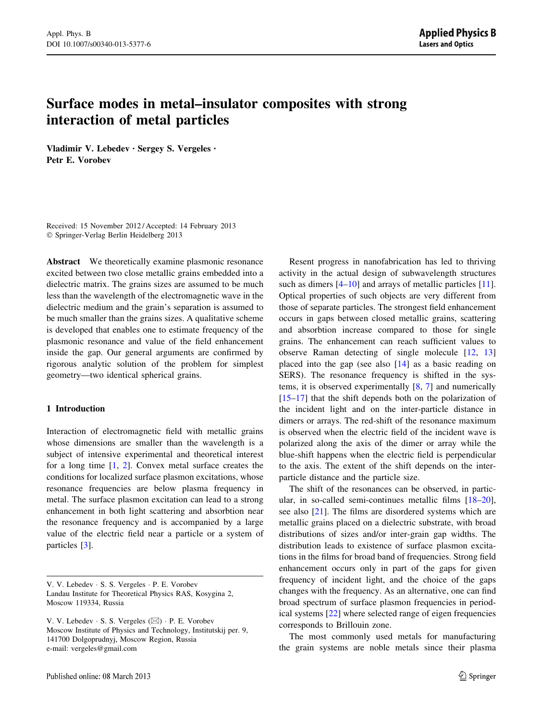# Surface modes in metal–insulator composites with strong interaction of metal particles

Vladimir V. Lebedev • Sergey S. Vergeles • Petr E. Vorobev

Received: 15 November 2012 / Accepted: 14 February 2013 - Springer-Verlag Berlin Heidelberg 2013

Abstract We theoretically examine plasmonic resonance excited between two close metallic grains embedded into a dielectric matrix. The grains sizes are assumed to be much less than the wavelength of the electromagnetic wave in the dielectric medium and the grain's separation is assumed to be much smaller than the grains sizes. A qualitative scheme is developed that enables one to estimate frequency of the plasmonic resonance and value of the field enhancement inside the gap. Our general arguments are confirmed by rigorous analytic solution of the problem for simplest geometry—two identical spherical grains.

#### 1 Introduction

Interaction of electromagnetic field with metallic grains whose dimensions are smaller than the wavelength is a subject of intensive experimental and theoretical interest for a long time [[1](#page-10-0), [2\]](#page-10-0). Convex metal surface creates the conditions for localized surface plasmon excitations, whose resonance frequencies are below plasma frequency in metal. The surface plasmon excitation can lead to a strong enhancement in both light scattering and absorbtion near the resonance frequency and is accompanied by a large value of the electric field near a particle or a system of particles [[3\]](#page-10-0).

Resent progress in nanofabrication has led to thriving activity in the actual design of subwavelength structures such as dimers  $[4-10]$  and arrays of metallic particles  $[11]$  $[11]$ . Optical properties of such objects are very different from those of separate particles. The strongest field enhancement occurs in gaps between closed metallic grains, scattering and absorbtion increase compared to those for single grains. The enhancement can reach sufficient values to observe Raman detecting of single molecule [\[12](#page-10-0), [13\]](#page-10-0) placed into the gap (see also [[14](#page-10-0)] as a basic reading on SERS). The resonance frequency is shifted in the systems, it is observed experimentally  $[8, 7]$  $[8, 7]$  $[8, 7]$  and numerically [\[15–17](#page-10-0)] that the shift depends both on the polarization of the incident light and on the inter-particle distance in dimers or arrays. The red-shift of the resonance maximum is observed when the electric field of the incident wave is polarized along the axis of the dimer or array while the blue-shift happens when the electric field is perpendicular to the axis. The extent of the shift depends on the interparticle distance and the particle size.

The shift of the resonances can be observed, in particular, in so-called semi-continues metallic films [\[18–20](#page-10-0)], see also [\[21](#page-10-0)]. The films are disordered systems which are metallic grains placed on a dielectric substrate, with broad distributions of sizes and/or inter-grain gap widths. The distribution leads to existence of surface plasmon excitations in the films for broad band of frequencies. Strong field enhancement occurs only in part of the gaps for given frequency of incident light, and the choice of the gaps changes with the frequency. As an alternative, one can find broad spectrum of surface plasmon frequencies in periodical systems [[22\]](#page-10-0) where selected range of eigen frequencies corresponds to Brillouin zone.

The most commonly used metals for manufacturing the grain systems are noble metals since their plasma

V. V. Lebedev - S. S. Vergeles - P. E. Vorobev Landau Institute for Theoretical Physics RAS, Kosygina 2, Moscow 119334, Russia

V. V. Lebedev  $\cdot$  S. S. Vergeles ( $\boxtimes$ )  $\cdot$  P. E. Vorobev Moscow Institute of Physics and Technology, Institutskij per. 9, 141700 Dolgoprudnyj, Moscow Region, Russia e-mail: vergeles@gmail.com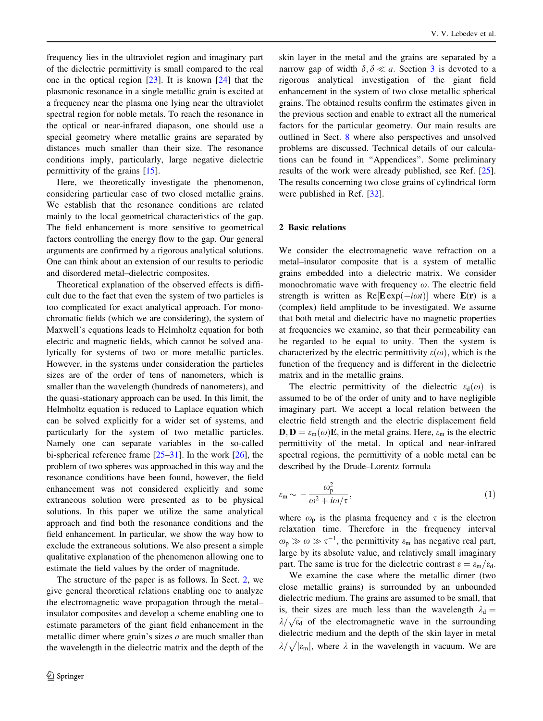<span id="page-1-0"></span>frequency lies in the ultraviolet region and imaginary part of the dielectric permittivity is small compared to the real one in the optical region [\[23](#page-10-0)]. It is known [[24\]](#page-10-0) that the plasmonic resonance in a single metallic grain is excited at a frequency near the plasma one lying near the ultraviolet spectral region for noble metals. To reach the resonance in the optical or near-infrared diapason, one should use a special geometry where metallic grains are separated by distances much smaller than their size. The resonance conditions imply, particularly, large negative dielectric permittivity of the grains [\[15](#page-10-0)].

Here, we theoretically investigate the phenomenon, considering particular case of two closed metallic grains. We establish that the resonance conditions are related mainly to the local geometrical characteristics of the gap. The field enhancement is more sensitive to geometrical factors controlling the energy flow to the gap. Our general arguments are confirmed by a rigorous analytical solutions. One can think about an extension of our results to periodic and disordered metal–dielectric composites.

Theoretical explanation of the observed effects is difficult due to the fact that even the system of two particles is too complicated for exact analytical approach. For monochromatic fields (which we are considering), the system of Maxwell's equations leads to Helmholtz equation for both electric and magnetic fields, which cannot be solved analytically for systems of two or more metallic particles. However, in the systems under consideration the particles sizes are of the order of tens of nanometers, which is smaller than the wavelength (hundreds of nanometers), and the quasi-stationary approach can be used. In this limit, the Helmholtz equation is reduced to Laplace equation which can be solved explicitly for a wider set of systems, and particularly for the system of two metallic particles. Namely one can separate variables in the so-called bi-spherical reference frame [\[25](#page-10-0)[–31](#page-11-0)]. In the work [\[26](#page-10-0)], the problem of two spheres was approached in this way and the resonance conditions have been found, however, the field enhancement was not considered explicitly and some extraneous solution were presented as to be physical solutions. In this paper we utilize the same analytical approach and find both the resonance conditions and the field enhancement. In particular, we show the way how to exclude the extraneous solutions. We also present a simple qualitative explanation of the phenomenon allowing one to estimate the field values by the order of magnitude.

The structure of the paper is as follows. In Sect. 2, we give general theoretical relations enabling one to analyze the electromagnetic wave propagation through the metal– insulator composites and develop a scheme enabling one to estimate parameters of the giant field enhancement in the metallic dimer where grain's sizes  $a$  are much smaller than the wavelength in the dielectric matrix and the depth of the skin layer in the metal and the grains are separated by a narrow gap of width  $\delta, \delta \ll a$ . Section [3](#page-4-0) is devoted to a rigorous analytical investigation of the giant field enhancement in the system of two close metallic spherical grains. The obtained results confirm the estimates given in the previous section and enable to extract all the numerical factors for the particular geometry. Our main results are outlined in Sect. [8](#page-7-0) where also perspectives and unsolved problems are discussed. Technical details of our calculations can be found in ''Appendices''. Some preliminary results of the work were already published, see Ref. [\[25](#page-10-0)]. The results concerning two close grains of cylindrical form were published in Ref. [[32\]](#page-11-0).

#### 2 Basic relations

We consider the electromagnetic wave refraction on a metal–insulator composite that is a system of metallic grains embedded into a dielectric matrix. We consider monochromatic wave with frequency  $\omega$ . The electric field strength is written as  $\text{Re}[\mathbf{E} \exp(-i\omega t)]$  where  $\mathbf{E}(\mathbf{r})$  is a (complex) field amplitude to be investigated. We assume that both metal and dielectric have no magnetic properties at frequencies we examine, so that their permeability can be regarded to be equal to unity. Then the system is characterized by the electric permittivity  $\varepsilon(\omega)$ , which is the function of the frequency and is different in the dielectric matrix and in the metallic grains.

The electric permittivity of the dielectric  $\varepsilon_d(\omega)$  is assumed to be of the order of unity and to have negligible imaginary part. We accept a local relation between the electric field strength and the electric displacement field  $\mathbf{D}, \mathbf{D} = \varepsilon_{\rm m}(\omega)\mathbf{E}$ , in the metal grains. Here,  $\varepsilon_{\rm m}$  is the electric permittivity of the metal. In optical and near-infrared spectral regions, the permittivity of a noble metal can be described by the Drude–Lorentz formula

$$
\varepsilon_{\rm m} \sim -\frac{\omega_{\rm p}^2}{\omega^2 + i\omega/\tau},\tag{1}
$$

where  $\omega_{\rm p}$  is the plasma frequency and  $\tau$  is the electron relaxation time. Therefore in the frequency interval  $\omega_{\rm p} \gg \omega \gg \tau^{-1}$ , the permittivity  $\varepsilon_{\rm m}$  has negative real part, large by its absolute value, and relatively small imaginary part. The same is true for the dielectric contrast  $\varepsilon = \varepsilon_{\rm m}/\varepsilon_{\rm d}$ .

We examine the case where the metallic dimer (two close metallic grains) is surrounded by an unbounded dielectric medium. The grains are assumed to be small, that is, their sizes are much less than the wavelength  $\lambda_d =$  $\lambda/\sqrt{\epsilon_d}$  of the electromagnetic wave in the surrounding dielectric medium and the depth of the skin layer in metal  $\lambda/\sqrt{|\varepsilon_{\rm m}|}$ , where  $\lambda$  in the wavelength in vacuum. We are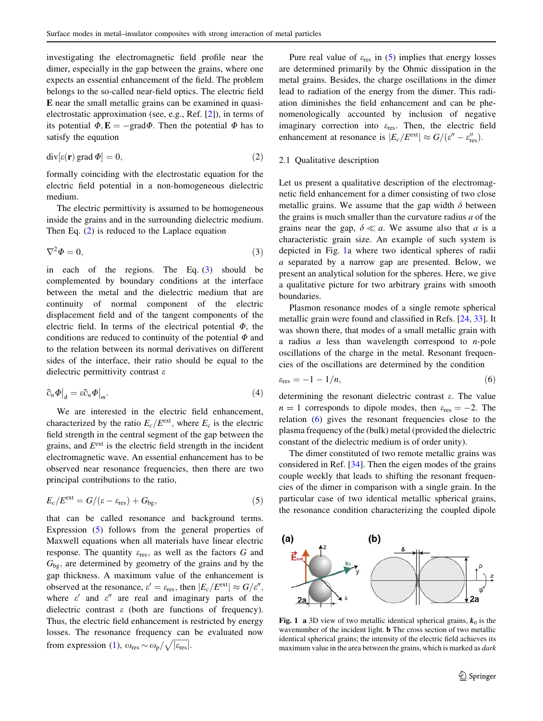<span id="page-2-0"></span>investigating the electromagnetic field profile near the dimer, especially in the gap between the grains, where one expects an essential enhancement of the field. The problem belongs to the so-called near-field optics. The electric field E near the small metallic grains can be examined in quasielectrostatic approximation (see, e.g., Ref. [\[2](#page-10-0)]), in terms of its potential  $\Phi$ ,  $\mathbf{E} = -\text{grad}\Phi$ . Then the potential  $\Phi$  has to satisfy the equation

$$
\operatorname{div}[\varepsilon(\mathbf{r})\operatorname{grad}\Phi] = 0,\tag{2}
$$

formally coinciding with the electrostatic equation for the electric field potential in a non-homogeneous dielectric medium.

The electric permittivity is assumed to be homogeneous inside the grains and in the surrounding dielectric medium. Then Eq. (2) is reduced to the Laplace equation

$$
\nabla^2 \Phi = 0,\tag{3}
$$

in each of the regions. The Eq. (3) should be complemented by boundary conditions at the interface between the metal and the dielectric medium that are continuity of normal component of the electric displacement field and of the tangent components of the electric field. In terms of the electrical potential  $\Phi$ , the conditions are reduced to continuity of the potential  $\Phi$  and to the relation between its normal derivatives on different sides of the interface, their ratio should be equal to the dielectric permittivity contrast ε

$$
\left.\partial_n \Phi\right|_{\mathbf{d}} = \varepsilon \partial_n \Phi\big|_m. \tag{4}
$$

We are interested in the electric field enhancement, characterized by the ratio  $E_c/E^{\text{ext}}$ , where  $E_c$  is the electric field strength in the central segment of the gap between the grains, and  $E^{\text{ext}}$  is the electric field strength in the incident electromagnetic wave. An essential enhancement has to be observed near resonance frequencies, then there are two principal contributions to the ratio,

$$
E_c/E^{\text{ext}} = G/(\varepsilon - \varepsilon_{\text{res}}) + G_{\text{bg}},\tag{5}
$$

that can be called resonance and background terms. Expression (5) follows from the general properties of Maxwell equations when all materials have linear electric response. The quantity  $\varepsilon_{\text{res}}$ , as well as the factors G and  $G_{\text{bg}}$ , are determined by geometry of the grains and by the gap thickness. A maximum value of the enhancement is observed at the resonance,  $\varepsilon' = \varepsilon_{\text{res}}$ , then  $|E_c/E^{\text{ext}}| \approx G/\varepsilon''$ , where  $\varepsilon'$  and  $\varepsilon''$  are real and imaginary parts of the dielectric contrast  $\varepsilon$  (both are functions of frequency). Thus, the electric field enhancement is restricted by energy losses. The resonance frequency can be evaluated now from expression [\(1](#page-1-0)),  $\omega_{\text{res}} \sim \omega_{\text{p}} / \sqrt{|\varepsilon_{\text{res}}|}$ .

Pure real value of  $\varepsilon_{res}$  in (5) implies that energy losses are determined primarily by the Ohmic dissipation in the metal grains. Besides, the charge oscillations in the dimer lead to radiation of the energy from the dimer. This radiation diminishes the field enhancement and can be phenomenologically accounted by inclusion of negative imaginary correction into  $\varepsilon_{res}$ . Then, the electric field enhancement at resonance is  $|E_c/E^{ext}| \approx G/(e'' - e_{res}'')$ .

### 2.1 Qualitative description

Let us present a qualitative description of the electromagnetic field enhancement for a dimer consisting of two close metallic grains. We assume that the gap width  $\delta$  between the grains is much smaller than the curvature radius  $a$  of the grains near the gap,  $\delta \ll a$ . We assume also that a is a characteristic grain size. An example of such system is depicted in Fig. 1a where two identical spheres of radii a separated by a narrow gap are presented. Below, we present an analytical solution for the spheres. Here, we give a qualitative picture for two arbitrary grains with smooth boundaries.

Plasmon resonance modes of a single remote spherical metallic grain were found and classified in Refs. [[24,](#page-10-0) [33\]](#page-11-0). It was shown there, that modes of a small metallic grain with a radius  $a$  less than wavelength correspond to  $n$ -pole oscillations of the charge in the metal. Resonant frequencies of the oscillations are determined by the condition

$$
\varepsilon_{\text{res}} = -1 - 1/n,\tag{6}
$$

determining the resonant dielectric contrast  $\varepsilon$ . The value  $n = 1$  corresponds to dipole modes, then  $\varepsilon_{res} = -2$ . The relation (6) gives the resonant frequencies close to the plasma frequency of the (bulk) metal (provided the dielectric constant of the dielectric medium is of order unity).

The dimer constituted of two remote metallic grains was considered in Ref. [\[34](#page-11-0)]. Then the eigen modes of the grains couple weekly that leads to shifting the resonant frequencies of the dimer in comparison with a single grain. In the particular case of two identical metallic spherical grains, the resonance condition characterizing the coupled dipole



Fig. 1 a 3D view of two metallic identical spherical grains,  $k_0$  is the wavenumber of the incident light. **b** The cross section of two metallic identical spherical grains; the intensity of the electric field achieves its maximum value in the area between the grains, which is marked as *dark*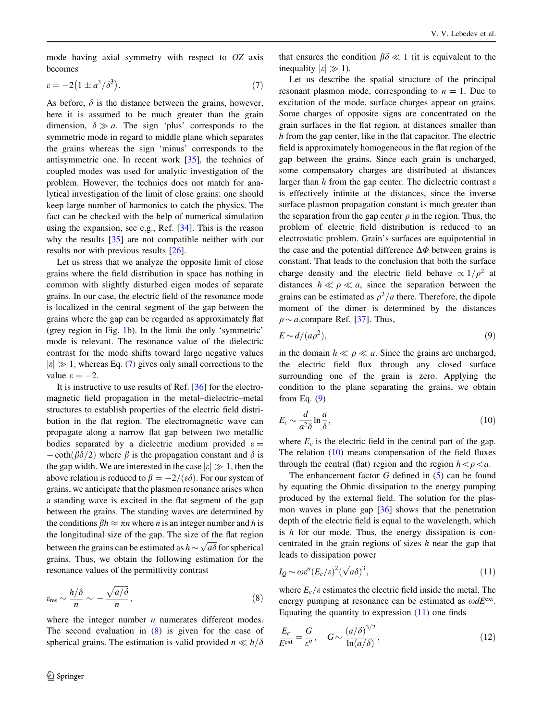<span id="page-3-0"></span>mode having axial symmetry with respect to  $OZ$  axis becomes

$$
\varepsilon = -2\left(1 \pm a^3/\delta^3\right). \tag{7}
$$

As before,  $\delta$  is the distance between the grains, however, here it is assumed to be much greater than the grain dimension,  $\delta \gg a$ . The sign 'plus' corresponds to the symmetric mode in regard to middle plane which separates the grains whereas the sign 'minus' corresponds to the antisymmetric one. In recent work [[35\]](#page-11-0), the technics of coupled modes was used for analytic investigation of the problem. However, the technics does not match for analytical investigation of the limit of close grains: one should keep large number of harmonics to catch the physics. The fact can be checked with the help of numerical simulation using the expansion, see e.g., Ref. [[34](#page-11-0)]. This is the reason why the results [\[35](#page-11-0)] are not compatible neither with our results nor with previous results [[26\]](#page-10-0).

Let us stress that we analyze the opposite limit of close grains where the field distribution in space has nothing in common with slightly disturbed eigen modes of separate grains. In our case, the electric field of the resonance mode is localized in the central segment of the gap between the grains where the gap can be regarded as approximately flat (grey region in Fig. [1b](#page-2-0)). In the limit the only 'symmetric' mode is relevant. The resonance value of the dielectric contrast for the mode shifts toward large negative values  $|\varepsilon| \gg 1$ , whereas Eq. (7) gives only small corrections to the value  $\varepsilon = -2$ .

It is instructive to use results of Ref. [[36\]](#page-11-0) for the electromagnetic field propagation in the metal–dielectric–metal structures to establish properties of the electric field distribution in the flat region. The electromagnetic wave can propagate along a narrow flat gap between two metallic bodies separated by a dielectric medium provided  $\varepsilon =$  $-\coth(\beta\delta/2)$  where  $\beta$  is the propagation constant and  $\delta$  is the gap width. We are interested in the case  $|\varepsilon| \gg 1$ , then the above relation is reduced to  $\beta = -2/(\varepsilon \delta)$ . For our system of grains, we anticipate that the plasmon resonance arises when a standing wave is excited in the flat segment of the gap between the grains. The standing waves are determined by the conditions  $\beta h \approx \pi n$  where *n* is an integer number and h is the longitudinal size of the gap. The size of the flat region between the grains can be estimated as  $h \sim \sqrt{a\delta}$  for spherical grains. Thus, we obtain the following estimation for the resonance values of the permittivity contrast

$$
\varepsilon_{\rm res} \sim \frac{h/\delta}{n} \sim -\frac{\sqrt{a/\delta}}{n},\tag{8}
$$

where the integer number  $n$  numerates different modes. The second evaluation in  $(8)$  is given for the case of spherical grains. The estimation is valid provided  $n \ll h/\delta$ 

that ensures the condition  $\beta \delta \ll 1$  (it is equivalent to the inequality  $|\varepsilon| \gg 1$ ).

Let us describe the spatial structure of the principal resonant plasmon mode, corresponding to  $n = 1$ . Due to excitation of the mode, surface charges appear on grains. Some charges of opposite signs are concentrated on the grain surfaces in the flat region, at distances smaller than h from the gap center, like in the flat capacitor. The electric field is approximately homogeneous in the flat region of the gap between the grains. Since each grain is uncharged, some compensatory charges are distributed at distances larger than h from the gap center. The dielectric contrast  $\varepsilon$ is effectively infinite at the distances, since the inverse surface plasmon propagation constant is much greater than the separation from the gap center  $\rho$  in the region. Thus, the problem of electric field distribution is reduced to an electrostatic problem. Grain's surfaces are equipotential in the case and the potential difference  $\Delta \Phi$  between grains is constant. That leads to the conclusion that both the surface charge density and the electric field behave  $\propto 1/\rho^2$  at distances  $h \ll \rho \ll a$ , since the separation between the grains can be estimated as  $\rho^2/a$  there. Therefore, the dipole moment of the dimer is determined by the distances  $\rho \sim a$ , compare Ref. [[37\]](#page-11-0). Thus,

$$
E \sim d/(a\rho^2),\tag{9}
$$

in the domain  $h \ll \rho \ll a$ . Since the grains are uncharged, the electric field flux through any closed surface surrounding one of the grain is zero. Applying the condition to the plane separating the grains, we obtain from Eq.  $(9)$ 

$$
E_c \sim \frac{d}{a^2 \delta} \ln \frac{a}{\delta},\tag{10}
$$

where  $E_c$  is the electric field in the central part of the gap. The relation  $(10)$  means compensation of the field fluxes through the central (flat) region and the region  $h \lt \rho \lt a$ .

The enhancement factor  $G$  defined in  $(5)$  $(5)$  can be found by equating the Ohmic dissipation to the energy pumping produced by the external field. The solution for the plasmon waves in plane gap [[36\]](#page-11-0) shows that the penetration depth of the electric field is equal to the wavelength, which is  $h$  for our mode. Thus, the energy dissipation is concentrated in the grain regions of sizes  $h$  near the gap that leads to dissipation power

$$
I_Q \sim \omega \varepsilon'' (E_c/\varepsilon)^2 (\sqrt{a\delta})^3, \tag{11}
$$

where  $E_c/\varepsilon$  estimates the electric field inside the metal. The energy pumping at resonance can be estimated as  $\omega dE^{\text{ext}}$ . Equating the quantity to expression  $(11)$  one finds

$$
\frac{E_c}{E^{\text{ext}}} = \frac{G}{\varepsilon''}, \quad G \sim \frac{(a/\delta)^{3/2}}{\ln(a/\delta)},\tag{12}
$$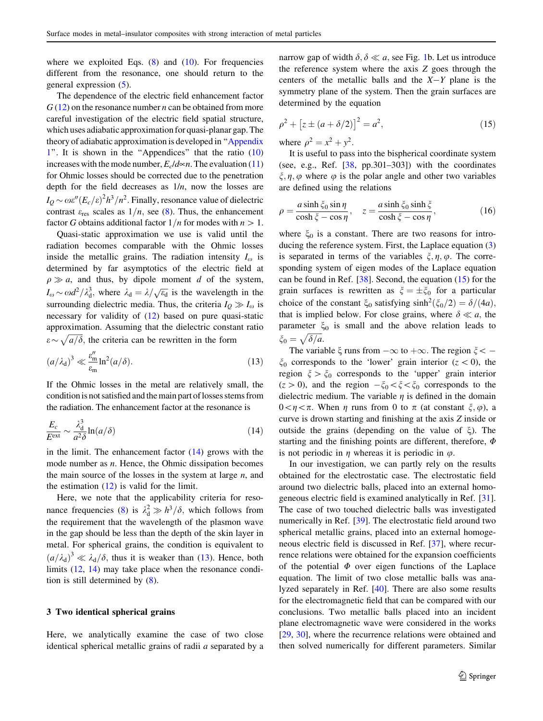<span id="page-4-0"></span>where we exploited Eqs.  $(8)$  $(8)$  and  $(10)$  $(10)$ . For frequencies different from the resonance, one should return to the general expression [\(5](#page-2-0)).

The dependence of the electric field enhancement factor  $G(12)$  $G(12)$  $G(12)$  on the resonance number *n* can be obtained from more careful investigation of the electric field spatial structure, which uses adiabatic approximation for quasi-planar gap. The theory of adiabatic approximation is developed in '['Appendix](#page-8-0) [1'](#page-8-0)'. It is shown in the ''Appendices'' that the ratio ([10\)](#page-3-0) increases with the mode number,  $E_c/d \sim n$ . The evaluation ([11\)](#page-3-0) for Ohmic losses should be corrected due to the penetration depth for the field decreases as  $1/n$ , now the losses are  $I_Q \sim \omega \varepsilon'' (E_c/\varepsilon)^2 h^3/n^2$ . Finally, resonance value of dielectric contrast  $\varepsilon_{res}$  scales as  $1/n$ , see [\(8](#page-3-0)). Thus, the enhancement factor G obtains additional factor  $1/n$  for modes with  $n>1$ .

Quasi-static approximation we use is valid until the radiation becomes comparable with the Ohmic losses inside the metallic grains. The radiation intensity  $I_{\omega}$  is determined by far asymptotics of the electric field at  $\rho \gg a$ , and thus, by dipole moment d of the system,  $I_{\omega} \sim \omega d^2/\lambda_{\rm d}^3$ , where  $\lambda_{\rm d} = \lambda/\sqrt{\epsilon_{\rm d}}$  is the wavelength in the surrounding dielectric media. Thus, the criteria  $I_0 \gg I_0$  is necessary for validity of ([12\)](#page-3-0) based on pure quasi-static approximation. Assuming that the dielectric constant ratio  $\epsilon \sim \sqrt{a/\delta}$ , the criteria can be rewritten in the form

$$
(a/\lambda_{\rm d})^3 \ll \frac{\varepsilon_{\rm m}''}{\varepsilon_{\rm m}} \ln^2(a/\delta). \tag{13}
$$

If the Ohmic losses in the metal are relatively small, the condition is not satisfied and the main part of losses stems from the radiation. The enhancement factor at the resonance is

$$
\frac{E_c}{E^{\text{ext}}} \sim \frac{\lambda_{\text{d}}^3}{a^2 \delta} \ln(a/\delta) \tag{14}
$$

in the limit. The enhancement factor  $(14)$  grows with the mode number as  $n$ . Hence, the Ohmic dissipation becomes the main source of the losses in the system at large  $n$ , and the estimation  $(12)$  $(12)$  is valid for the limit.

Here, we note that the applicability criteria for reso-nance frequencies ([8\)](#page-3-0) is  $\lambda_d^2 \gg h^3/\delta$ , which follows from the requirement that the wavelength of the plasmon wave in the gap should be less than the depth of the skin layer in metal. For spherical grains, the condition is equivalent to  $(a/\lambda_d)^3 \ll \lambda_d/\delta$ , thus it is weaker than (13). Hence, both limits ([12,](#page-3-0) 14) may take place when the resonance condition is still determined by [\(8](#page-3-0)).

#### 3 Two identical spherical grains

Here, we analytically examine the case of two close identical spherical metallic grains of radii a separated by a narrow gap of width  $\delta$ ,  $\delta \ll a$ , see Fig. [1](#page-2-0)b. Let us introduce the reference system where the axis Z goes through the centers of the metallic balls and the  $X-Y$  plane is the symmetry plane of the system. Then the grain surfaces are determined by the equation

$$
\rho^2 + [z \pm (a + \delta/2)]^2 = a^2,
$$
\n(15)

where  $\rho^2 = x^2 + y^2$ .

It is useful to pass into the bispherical coordinate system (see, e.g., Ref.  $[38, pp.301-303]$  $[38, pp.301-303]$  $[38, pp.301-303]$ ) with the coordinates  $\xi$ ,  $\eta$ ,  $\varphi$  where  $\varphi$  is the polar angle and other two variables are defined using the relations

$$
\rho = \frac{a \sinh \xi_0 \sin \eta}{\cosh \xi - \cos \eta}, \quad z = \frac{a \sinh \xi_0 \sinh \xi}{\cosh \xi - \cos \eta},
$$
(16)

where  $\xi_0$  is a constant. There are two reasons for introducing the reference system. First, the Laplace equation ([3\)](#page-2-0) is separated in terms of the variables  $\xi, \eta, \varphi$ . The corresponding system of eigen modes of the Laplace equation can be found in Ref.  $[38]$  $[38]$ . Second, the equation  $(15)$  for the grain surfaces is rewritten as  $\xi = \pm \xi_0$  for a particular choice of the constant  $\xi_0$  satisfying sinh<sup>2</sup>( $\xi_0/2$ ) =  $\delta/(4a)$ , that is implied below. For close grains, where  $\delta \ll a$ , the parameter  $\xi_0$  is small and the above relation leads to  $\xi_0 = \sqrt{\delta/a}.$ 

The variable  $\xi$  runs from  $-\infty$  to  $+\infty$ . The region  $\xi < \xi_0$  corresponds to the 'lower' grain interior (z < 0), the region  $\xi > \xi_0$  corresponds to the 'upper' grain interior  $(z>0)$ , and the region  $-\xi_0<\xi<\xi_0$  corresponds to the dielectric medium. The variable  $\eta$  is defined in the domain  $0 \lt \eta \lt \pi$ . When  $\eta$  runs from 0 to  $\pi$  (at constant  $\xi, \varphi$ ), a curve is drown starting and finishing at the axis Z inside or outside the grains (depending on the value of  $\xi$ ). The starting and the finishing points are different, therefore,  $\Phi$ is not periodic in  $\eta$  whereas it is periodic in  $\varphi$ .

In our investigation, we can partly rely on the results obtained for the electrostatic case. The electrostatic field around two dielectric balls, placed into an external homogeneous electric field is examined analytically in Ref. [\[31](#page-11-0)]. The case of two touched dielectric balls was investigated numerically in Ref. [[39\]](#page-11-0). The electrostatic field around two spherical metallic grains, placed into an external homogeneous electric field is discussed in Ref. [\[37](#page-11-0)], where recurrence relations were obtained for the expansion coefficients of the potential  $\Phi$  over eigen functions of the Laplace equation. The limit of two close metallic balls was analyzed separately in Ref. [\[40](#page-11-0)]. There are also some results for the electromagnetic field that can be compared with our conclusions. Two metallic balls placed into an incident plane electromagnetic wave were considered in the works [\[29](#page-10-0), [30\]](#page-10-0), where the recurrence relations were obtained and then solved numerically for different parameters. Similar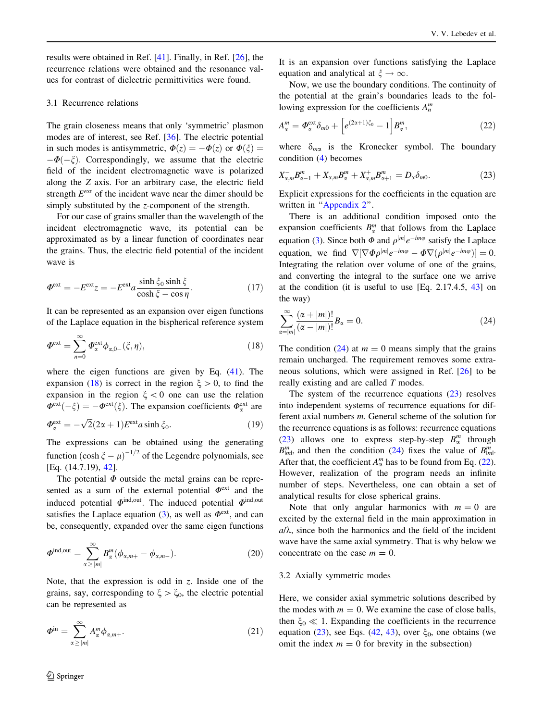<span id="page-5-0"></span>results were obtained in Ref. [\[41](#page-11-0)]. Finally, in Ref. [\[26](#page-10-0)], the recurrence relations were obtained and the resonance values for contrast of dielectric permittivities were found.

#### 3.1 Recurrence relations

The grain closeness means that only 'symmetric' plasmon modes are of interest, see Ref. [[36\]](#page-11-0). The electric potential in such modes is antisymmetric,  $\Phi(z) = -\Phi(z)$  or  $\Phi(\xi) =$  $-\Phi(-\zeta)$ . Correspondingly, we assume that the electric field of the incident electromagnetic wave is polarized along the Z axis. For an arbitrary case, the electric field strength  $E^{\text{ext}}$  of the incident wave near the dimer should be simply substituted by the z-component of the strength.

For our case of grains smaller than the wavelength of the incident electromagnetic wave, its potential can be approximated as by a linear function of coordinates near the grains. Thus, the electric field potential of the incident wave is

$$
\Phi^{\text{ext}} = -E^{\text{ext}} z = -E^{\text{ext}} a \frac{\sinh \xi_0 \sinh \xi}{\cosh \xi - \cos \eta}.
$$
 (17)

It can be represented as an expansion over eigen functions of the Laplace equation in the bispherical reference system

$$
\Phi^{\text{ext}} = \sum_{n=0}^{\infty} \Phi_{\alpha}^{\text{ext}} \phi_{\alpha,0-}(\xi,\eta), \qquad (18)
$$

where the eigen functions are given by Eq. [\(41](#page-9-0)). The expansion (18) is correct in the region  $\xi > 0$ , to find the expansion in the region  $\xi < 0$  one can use the relation  $\Phi^{\text{ext}}(-\zeta) = -\Phi^{\text{ext}}(\zeta)$ . The expansion coefficients  $\Phi^{\text{ext}}_{\alpha}$  are  $\Phi_{\alpha}^{\text{ext}} = -\sqrt{2}(2\alpha + 1)E^{\text{ext}}a\sinh\xi_0.$  (19)

The expressions can be obtained using the generating function  $(\cosh \xi - \mu)^{-1/2}$  of the Legendre polynomials, see [Eq. (14.7.19), [42\]](#page-11-0).

The potential  $\Phi$  outside the metal grains can be represented as a sum of the external potential  $\Phi^{\text{ext}}$  and the induced potential  $\Phi^{\text{ind,out}}$ . The induced potential  $\Phi^{\text{ind,out}}$ satisfies the Laplace equation ([3\)](#page-2-0), as well as  $\Phi^{\text{ext}}$ , and can be, consequently, expanded over the same eigen functions

$$
\Phi^{\text{ind,out}} = \sum_{\alpha \ge |m|}^{\infty} B_{\alpha}^{m} (\phi_{\alpha,m+} - \phi_{\alpha,m-}). \tag{20}
$$

Note, that the expression is odd in z. Inside one of the grains, say, corresponding to  $\xi > \xi_0$ , the electric potential can be represented as

$$
\Phi^{\rm in} = \sum_{\alpha \ge |m|}^{\infty} A_{\alpha}^{m} \phi_{\alpha, m+}.
$$
\n(21)

It is an expansion over functions satisfying the Laplace equation and analytical at  $\xi \to \infty$ .

Now, we use the boundary conditions. The continuity of the potential at the grain's boundaries leads to the following expression for the coefficients  $A_n^m$ 

$$
A_{\alpha}^{m} = \Phi_{\alpha}^{\text{ext}} \delta_{m0} + \left[ e^{(2\alpha+1)\xi_0} - 1 \right] B_{\alpha}^{m}, \tag{22}
$$

where  $\delta_{m\alpha}$  is the Kronecker symbol. The boundary condition ([4\)](#page-2-0) becomes

$$
X_{\alpha,m}^{-}B_{\alpha-1}^{m} + X_{\alpha,m}B_{\alpha}^{m} + X_{\alpha,m}^{+}B_{\alpha+1}^{m} = D_{\alpha}\delta_{m0}.
$$
 (23)

Explicit expressions for the coefficients in the equation are written in "[Appendix 2](#page-9-0)".

There is an additional condition imposed onto the expansion coefficients  $B_{\alpha}^{m}$  that follows from the Laplace equation ([3\)](#page-2-0). Since both  $\Phi$  and  $\rho^{|m|}e^{-im\varphi}$  satisfy the Laplace equation, we find  $\nabla[\nabla \Phi \rho^{|m|} e^{-im\varphi} - \Phi \nabla(\rho^{|m|} e^{-im\varphi})] = 0.$ Integrating the relation over volume of one of the grains, and converting the integral to the surface one we arrive at the condition (it is useful to use [Eq. 2.17.4.5, [43\]](#page-11-0) on the way)

$$
\sum_{\alpha=|m|}^{\infty} \frac{(\alpha+|m|)!}{(\alpha-|m|)!} B_{\alpha} = 0.
$$
\n(24)

The condition (24) at  $m = 0$  means simply that the grains remain uncharged. The requirement removes some extraneous solutions, which were assigned in Ref. [[26\]](#page-10-0) to be really existing and are called T modes.

The system of the recurrence equations (23) resolves into independent systems of recurrence equations for different axial numbers m. General scheme of the solution for the recurrence equations is as follows: recurrence equations (23) allows one to express step-by-step  $B_{\alpha}^{m}$  through  $B_{lm}^m$ , and then the condition (24) fixes the value of  $B_{lm}^m$ . After that, the coefficient  $A_{\alpha}^{m}$  has to be found from Eq. (22). However, realization of the program needs an infinite number of steps. Nevertheless, one can obtain a set of analytical results for close spherical grains.

Note that only angular harmonics with  $m = 0$  are excited by the external field in the main approximation in  $a/\lambda$ , since both the harmonics and the field of the incident wave have the same axial symmetry. That is why below we concentrate on the case  $m = 0$ .

#### 3.2 Axially symmetric modes

Here, we consider axial symmetric solutions described by the modes with  $m = 0$ . We examine the case of close balls, then  $\xi_0 \ll 1$ . Expanding the coefficients in the recurrence equation (23), see Eqs. [\(42](#page-9-0), [43](#page-9-0)), over  $\xi_0$ , one obtains (we omit the index  $m = 0$  for brevity in the subsection)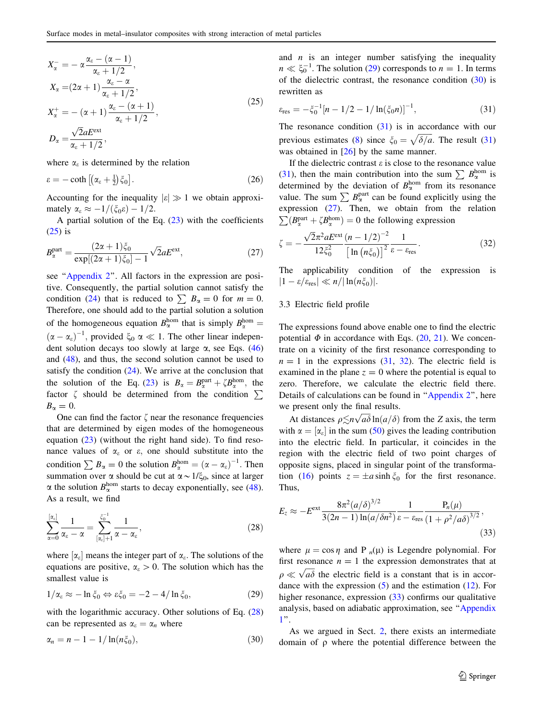<span id="page-6-0"></span>
$$
X_{\alpha}^{-} = -\alpha \frac{\alpha_{\varepsilon} - (\alpha - 1)}{\alpha_{\varepsilon} + 1/2},
$$
  
\n
$$
X_{\alpha} = (2\alpha + 1) \frac{\alpha_{\varepsilon} - \alpha}{\alpha_{\varepsilon} + 1/2},
$$
  
\n
$$
X_{\alpha}^{+} = -(\alpha + 1) \frac{\alpha_{\varepsilon} - (\alpha + 1)}{\alpha_{\varepsilon} + 1/2},
$$
  
\n
$$
D_{\alpha} = \frac{\sqrt{2}aE^{\text{ext}}}{\alpha_{\varepsilon} + 1/2},
$$
\n(25)

where  $\alpha_{\varepsilon}$  is determined by the relation

$$
\varepsilon = -\coth\left[ \left( \alpha_{\varepsilon} + \frac{1}{2} \right) \xi_0 \right]. \tag{26}
$$

Accounting for the inequality  $|\varepsilon| \gg 1$  we obtain approximately  $\alpha_{\varepsilon} \approx -1/(\xi_0 \varepsilon) - 1/2$ .

A partial solution of the Eq.  $(23)$  $(23)$  with the coefficients [\(25](#page-5-0)) is

$$
B_{\alpha}^{\text{part}} = \frac{(2\alpha + 1)\xi_0}{\exp[(2\alpha + 1)\xi_0] - 1} \sqrt{2} a E^{\text{ext}},\tag{27}
$$

see "Appendix 2". All factors in the expression are positive. Consequently, the partial solution cannot satisfy the condition ([24\)](#page-5-0) that is reduced to  $\sum B_{\alpha} = 0$  for  $m = 0$ . Therefore, one should add to the partial solution a solution of the homogeneous equation  $B_{\alpha}^{\text{hom}}$  that is simply  $B_{\alpha}^{\text{hom}} =$  $(\alpha - \alpha_{\varepsilon})^{-1}$ , provided  $\xi_0 \alpha \ll 1$ . The other linear independent solution decays too slowly at large  $\alpha$ , see Eqs. ([46\)](#page-9-0) and [\(48](#page-9-0)), and thus, the second solution cannot be used to satisfy the condition  $(24)$  $(24)$ . We arrive at the conclusion that the solution of the Eq. ([23\)](#page-5-0) is  $B_{\alpha} = B_{\alpha}^{\text{part}} + \zeta B_{\alpha}^{\text{hom}}$ , the factor  $\zeta$  should be determined from the condition  $\Sigma$  $B_{\alpha}=0.$ 

One can find the factor  $\zeta$  near the resonance frequencies that are determined by eigen modes of the homogeneous equation ([23\)](#page-5-0) (without the right hand side). To find resonance values of  $\alpha_{\varepsilon}$  or  $\varepsilon$ , one should substitute into the condition  $\sum B_{\alpha} = 0$  the solution  $B_{\alpha}^{\text{hom}} = (\alpha - \alpha_{\varepsilon})^{-1}$ . Then summation over  $\alpha$  should be cut at  $\alpha \sim 1/\xi_0$ , since at larger  $\alpha$  the solution  $B_{\alpha}^{\text{hom}}$  starts to decay exponentially, see [\(48](#page-9-0)). As a result, we find

$$
\sum_{\alpha=0}^{[\alpha_{\varepsilon}]} \frac{1}{\alpha_{\varepsilon} - \alpha} = \sum_{[\alpha_{\varepsilon}]+1}^{\xi_0^{-1}} \frac{1}{\alpha - \alpha_{\varepsilon}},
$$
\n(28)

where  $[\alpha_{\varepsilon}]$  means the integer part of  $\alpha_{\varepsilon}$ . The solutions of the equations are positive,  $\alpha_{\varepsilon} > 0$ . The solution which has the smallest value is

$$
1/\alpha_{\varepsilon} \approx -\ln \xi_0 \Leftrightarrow \varepsilon \xi_0 = -2 - 4/\ln \xi_0, \tag{29}
$$

with the logarithmic accuracy. Other solutions of Eq.  $(28)$ can be represented as  $\alpha_{\varepsilon} = \alpha_n$  where

$$
\alpha_n = n - 1 - 1/\ln(n\xi_0),\tag{30}
$$

and  $n$  is an integer number satisfying the inequality  $n \ll \xi_0^{-1}$ . The solution (29) corresponds to  $n = 1$ . In terms of the dielectric contrast, the resonance condition (30) is rewritten as

$$
\varepsilon_{\rm res} = -\xi_0^{-1} [n - 1/2 - 1/\ln(\xi_0 n)]^{-1},\tag{31}
$$

The resonance condition (31) is in accordance with our previous estimates ([8\)](#page-3-0) since  $\zeta_0 = \sqrt{\delta/a}$ . The result (31) was obtained in [\[26](#page-10-0)] by the same manner.

If the dielectric contrast  $\varepsilon$  is close to the resonance value (31), then the main contribution into the sum  $\sum B_{\alpha}^{\text{hom}}$  is determined by the deviation of  $B_{\alpha}^{\text{hom}}$  from its resonance value. The sum  $\sum B_{\alpha}^{\text{part}}$  can be found explicitly using the expression (27). Then, we obtain from the relation  $\sum_{\alpha} (B_{\alpha}^{\text{part}} + \zeta B_{\alpha}^{\text{hom}}) = 0$  the following expression

$$
\zeta = -\frac{\sqrt{2}\pi^2 a E^{\text{ext}}}{12\xi_0^2} \frac{\left(n - 1/2\right)^{-2}}{\left[\ln\left(n\xi_0\right)\right]^2} \frac{1}{\varepsilon - \varepsilon_{\text{res}}}.\tag{32}
$$

The applicability condition of the expression is  $|1 - \varepsilon/\varepsilon_{\text{res}}| \ll n/|\ln(n\xi_0)|.$ 

### 3.3 Electric field profile

The expressions found above enable one to find the electric potential  $\Phi$  in accordance with Eqs. [\(20](#page-5-0), [21](#page-5-0)). We concentrate on a vicinity of the first resonance corresponding to  $n = 1$  in the expressions (31, 32). The electric field is examined in the plane  $z = 0$  where the potential is equal to zero. Therefore, we calculate the electric field there. Details of calculations can be found in '['Appendix 2](#page-9-0)'', here we present only the final results.

At distances  $\rho \leq n \sqrt{a\delta} \ln(a/\delta)$  from the Z axis, the term with  $\alpha = [\alpha_{\varepsilon}]$  in the sum ([50\)](#page-10-0) gives the leading contribution into the electric field. In particular, it coincides in the region with the electric field of two point charges of opposite signs, placed in singular point of the transforma-tion ([16\)](#page-4-0) points  $z = \pm a \sinh \xi_0$  for the first resonance. Thus,

$$
E_z \approx -E^{\text{ext}} \frac{8\pi^2 (a/\delta)^{3/2}}{3(2n-1)\ln(a/\delta n^2)} \frac{1}{\varepsilon - \varepsilon_{\text{res}}} \frac{P_n(\mu)}{(1+\rho^2/a\delta)^{3/2}},
$$
\n(33)

where  $\mu = \cos \eta$  and P <sub>n</sub>(µ) is Legendre polynomial. For first resonance  $n = 1$  the expression demonstrates that at  $\rho \ll \sqrt{a\delta}$  the electric field is a constant that is in accordance with the expression  $(5)$  $(5)$  and the estimation  $(12)$  $(12)$ . For higher resonance, expression (33) confirms our qualitative analysis, based on adiabatic approximation, see ''[Appendix](#page-8-0) [1](#page-8-0)''.

As we argued in Sect. [2,](#page-1-0) there exists an intermediate domain of  $\rho$  where the potential difference between the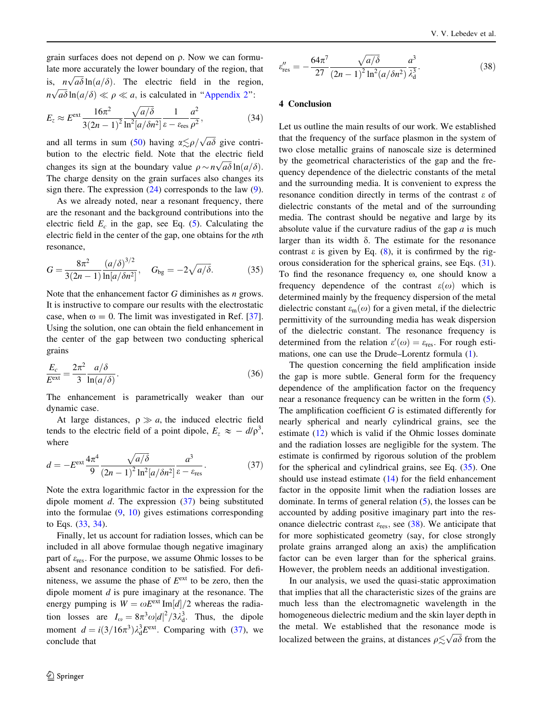<span id="page-7-0"></span>grain surfaces does not depend on q. Now we can formulate more accurately the lower boundary of the region, that is,  $n\sqrt{a\delta} \ln(a/\delta)$ . The electric field in the region,  $n\sqrt{a\delta} \ln(a/\delta) \ll \rho \ll a$ , is calculated in "[Appendix 2](#page-9-0)":

$$
E_z \approx E^{\text{ext}} \frac{16\pi^2}{3(2n-1)^2} \frac{\sqrt{a/\delta}}{\ln^2[a/\delta n^2]} \frac{1}{\varepsilon - \varepsilon_{\text{res}}} \frac{a^2}{\rho^2},
$$
(34)

and all terms in sum [\(50](#page-10-0)) having  $\alpha \lesssim \rho / \sqrt{a\delta}$  give contribution to the electric field. Note that the electric field changes its sign at the boundary value  $\rho \sim n \sqrt{a} \delta \ln(a/\delta)$ . The charge density on the grain surfaces also changes its sign there. The expression  $(24)$  $(24)$  corresponds to the law  $(9)$  $(9)$ .

As we already noted, near a resonant frequency, there are the resonant and the background contributions into the electric field  $E_c$  in the gap, see Eq. ([5\)](#page-2-0). Calculating the electric field in the center of the gap, one obtains for the nth resonance,

$$
G = \frac{8\pi^2}{3(2n-1)} \frac{(a/\delta)^{3/2}}{\ln[a/\delta n^2]}, \quad G_{\text{bg}} = -2\sqrt{a/\delta}. \tag{35}
$$

Note that the enhancement factor  $G$  diminishes as  $n$  grows. It is instructive to compare our results with the electrostatic case, when  $\omega = 0$ . The limit was investigated in Ref. [\[37](#page-11-0)]. Using the solution, one can obtain the field enhancement in the center of the gap between two conducting spherical grains

$$
\frac{E_c}{E^{\text{ext}}} = \frac{2\pi^2}{3} \frac{a/\delta}{\ln(a/\delta)}.
$$
\n(36)

The enhancement is parametrically weaker than our dynamic case.

At large distances,  $\rho \gg a$ , the induced electric field tends to the electric field of a point dipole,  $E_z \approx -d/\rho^3$ , where

$$
d = -E^{\text{ext}} \frac{4\pi^4}{9} \frac{\sqrt{a/\delta}}{(2n-1)^2 \ln^2[a/\delta n^2]} \frac{a^3}{\varepsilon - \varepsilon_{\text{res}}}.
$$
 (37)

Note the extra logarithmic factor in the expression for the dipole moment  $d$ . The expression  $(37)$  being substituted into the formulae  $(9, 10)$  $(9, 10)$  $(9, 10)$  $(9, 10)$  gives estimations corresponding to Eqs. [\(33](#page-6-0), 34).

Finally, let us account for radiation losses, which can be included in all above formulae though negative imaginary part of  $\varepsilon_{res}$ . For the purpose, we assume Ohmic losses to be absent and resonance condition to be satisfied. For definiteness, we assume the phase of  $E^{\text{ext}}$  to be zero, then the dipole moment  $d$  is pure imaginary at the resonance. The energy pumping is  $W = \omega E^{\text{ext}} \text{Im}[d]/2$  whereas the radiation losses are  $I_{\omega} = 8\pi^3 \omega |d|^2 / 3\lambda_{\rm d}^3$ . Thus, the dipole moment  $d = i(3/16\pi^3)\lambda_d^3 E^{\text{ext}}$ . Comparing with (37), we conclude that

$$
\varepsilon_{\rm res}'' = -\frac{64\pi^7}{27} \frac{\sqrt{a/\delta}}{(2n-1)^2 \ln^2(a/\delta n^2)} \frac{a^3}{\lambda_{\rm d}^3}.
$$
 (38)

#### 4 Conclusion

Let us outline the main results of our work. We established that the frequency of the surface plasmon in the system of two close metallic grains of nanoscale size is determined by the geometrical characteristics of the gap and the frequency dependence of the dielectric constants of the metal and the surrounding media. It is convenient to express the resonance condition directly in terms of the contrast e of dielectric constants of the metal and of the surrounding media. The contrast should be negative and large by its absolute value if the curvature radius of the gap  $a$  is much larger than its width  $\delta$ . The estimate for the resonance contrast  $\varepsilon$  is given by Eq. ([8\)](#page-3-0), it is confirmed by the rigorous consideration for the spherical grains, see Eqs. [\(31](#page-6-0)). To find the resonance frequency  $\omega$ , one should know a frequency dependence of the contrast  $\varepsilon(\omega)$  which is determined mainly by the frequency dispersion of the metal dielectric constant  $\varepsilon_m(\omega)$  for a given metal, if the dielectric permittivity of the surrounding media has weak dispersion of the dielectric constant. The resonance frequency is determined from the relation  $\varepsilon'(\omega) = \varepsilon_{\text{res}}$ . For rough estimations, one can use the Drude–Lorentz formula ([1\)](#page-1-0).

The question concerning the field amplification inside the gap is more subtle. General form for the frequency dependence of the amplification factor on the frequency near a resonance frequency can be written in the form [\(5](#page-2-0)). The amplification coefficient G is estimated differently for nearly spherical and nearly cylindrical grains, see the estimate [\(12](#page-3-0)) which is valid if the Ohmic losses dominate and the radiation losses are negligible for the system. The estimate is confirmed by rigorous solution of the problem for the spherical and cylindrical grains, see Eq. (35). One should use instead estimate ([14\)](#page-4-0) for the field enhancement factor in the opposite limit when the radiation losses are dominate. In terms of general relation ([5\)](#page-2-0), the losses can be accounted by adding positive imaginary part into the resonance dielectric contrast  $\varepsilon_{res}$ , see (38). We anticipate that for more sophisticated geometry (say, for close strongly prolate grains arranged along an axis) the amplification factor can be even larger than for the spherical grains. However, the problem needs an additional investigation.

In our analysis, we used the quasi-static approximation that implies that all the characteristic sizes of the grains are much less than the electromagnetic wavelength in the homogeneous dielectric medium and the skin layer depth in the metal. We established that the resonance mode is localized between the grains, at distances  $\rho \lesssim \sqrt{a\delta}$  from the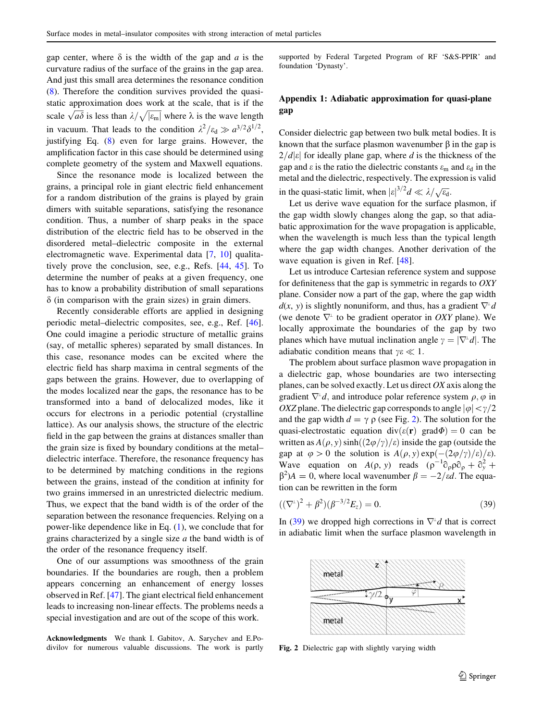<span id="page-8-0"></span>gap center, where  $\delta$  is the width of the gap and a is the curvature radius of the surface of the grains in the gap area. And just this small area determines the resonance condition [\(8](#page-3-0)). Therefore the condition survives provided the quasistatic approximation does work at the scale, that is if the scale  $\sqrt{a\delta}$  is less than  $\lambda/\sqrt{|\varepsilon_{\rm m}|}$  where  $\lambda$  is the wave length in vacuum. That leads to the condition  $\lambda^2 / \varepsilon_d \gg a^{3/2} \delta^{1/2}$ , justifying Eq. ([8\)](#page-3-0) even for large grains. However, the amplification factor in this case should be determined using complete geometry of the system and Maxwell equations.

Since the resonance mode is localized between the grains, a principal role in giant electric field enhancement for a random distribution of the grains is played by grain dimers with suitable separations, satisfying the resonance condition. Thus, a number of sharp peaks in the space distribution of the electric field has to be observed in the disordered metal–dielectric composite in the external electromagnetic wave. Experimental data [\[7](#page-10-0), [10\]](#page-10-0) qualitatively prove the conclusion, see, e.g., Refs. [\[44](#page-11-0), [45\]](#page-11-0). To determine the number of peaks at a given frequency, one has to know a probability distribution of small separations  $\delta$  (in comparison with the grain sizes) in grain dimers.

Recently considerable efforts are applied in designing periodic metal–dielectric composites, see, e.g., Ref. [\[46](#page-11-0)]. One could imagine a periodic structure of metallic grains (say, of metallic spheres) separated by small distances. In this case, resonance modes can be excited where the electric field has sharp maxima in central segments of the gaps between the grains. However, due to overlapping of the modes localized near the gaps, the resonance has to be transformed into a band of delocalized modes, like it occurs for electrons in a periodic potential (crystalline lattice). As our analysis shows, the structure of the electric field in the gap between the grains at distances smaller than the grain size is fixed by boundary conditions at the metal– dielectric interface. Therefore, the resonance frequency has to be determined by matching conditions in the regions between the grains, instead of the condition at infinity for two grains immersed in an unrestricted dielectric medium. Thus, we expect that the band width is of the order of the separation between the resonance frequencies. Relying on a power-like dependence like in Eq. ([1\)](#page-1-0), we conclude that for grains characterized by a single size a the band width is of the order of the resonance frequency itself.

One of our assumptions was smoothness of the grain boundaries. If the boundaries are rough, then a problem appears concerning an enhancement of energy losses observed in Ref. [[47\]](#page-11-0). The giant electrical field enhancement leads to increasing non-linear effects. The problems needs a special investigation and are out of the scope of this work.

Acknowledgments We thank I. Gabitov, A. Sarychev and E.Podivilov for numerous valuable discussions. The work is partly

supported by Federal Targeted Program of RF 'S&S-PPIR' and foundation 'Dynasty'.

## Appendix 1: Adiabatic approximation for quasi-plane gap

Consider dielectric gap between two bulk metal bodies. It is known that the surface plasmon wavenumber  $\beta$  in the gap is  $2/d|\varepsilon|$  for ideally plane gap, where d is the thickness of the gap and  $\varepsilon$  is the ratio the dielectric constants  $\varepsilon_m$  and  $\varepsilon_d$  in the metal and the dielectric, respectively. The expression is valid in the quasi-static limit, when  $|\varepsilon|^{3/2}d \ll \lambda/\sqrt{\varepsilon_{d}}$ .

Let us derive wave equation for the surface plasmon, if the gap width slowly changes along the gap, so that adiabatic approximation for the wave propagation is applicable, when the wavelength is much less than the typical length where the gap width changes. Another derivation of the wave equation is given in Ref. [[48\]](#page-11-0).

Let us introduce Cartesian reference system and suppose for definiteness that the gap is symmetric in regards to OXY plane. Consider now a part of the gap, where the gap width  $d(x, y)$  is slightly nonuniform, and thus, has a gradient  $\nabla^{\perp} d$ (we denote  $\nabla^{\perp}$  to be gradient operator in *OXY* plane). We locally approximate the boundaries of the gap by two planes which have mutual inclination angle  $\gamma = |\nabla^{\perp}d|$ . The adiabatic condition means that  $\gamma \varepsilon \ll 1$ .

The problem about surface plasmon wave propagation in a dielectric gap, whose boundaries are two intersecting planes, can be solved exactly. Let us direct  $OX$  axis along the gradient  $\nabla^{\perp}d$ , and introduce polar reference system  $\rho$ ,  $\varphi$  in *OXZ* plane. The dielectric gap corresponds to angle  $|\varphi| < \gamma/2$ and the gap width  $d = \gamma \rho$  (see Fig. 2). The solution for the quasi-electrostatic equation div $(\varepsilon(\mathbf{r})$  grad $\Phi) = 0$  can be written as  $A(\rho, y)$  sinh $\left(\frac{2\varphi}{\gamma}\right)$  inside the gap (outside the gap at  $\varphi > 0$  the solution is  $A(\rho, y) \exp(-(2\varphi/\gamma)/\varepsilon)/\varepsilon$ . Wave equation on  $A(\rho, y)$  reads  $(\rho^{-1}\partial_{\rho}\rho\partial_{\rho} + \partial_{y}^{2} +$  $\beta^2$ )A = 0, where local wavenumber  $\beta = -2/\epsilon d$ . The equation can be rewritten in the form

$$
((\nabla^{\perp})^2 + \beta^2)(\beta^{-3/2}E_z) = 0.
$$
\n(39)

In (39) we dropped high corrections in  $\nabla^{\perp}d$  that is correct in adiabatic limit when the surface plasmon wavelength in



Fig. 2 Dielectric gap with slightly varying width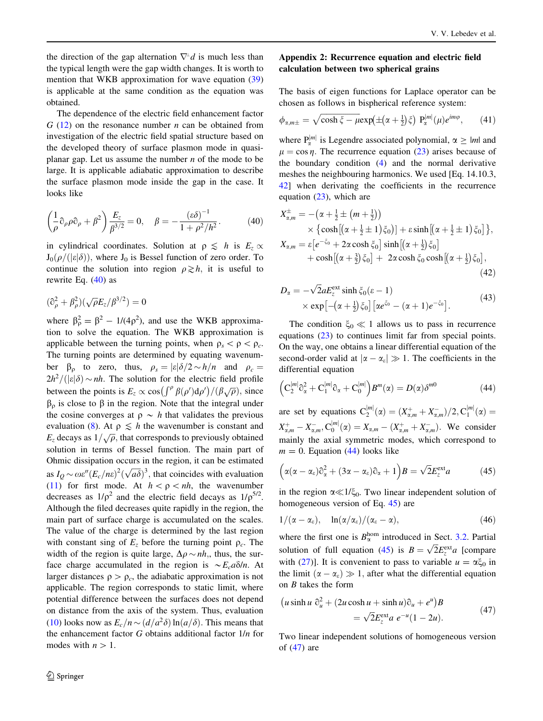<span id="page-9-0"></span>the direction of the gap alternation  $\nabla^{\perp}d$  is much less than the typical length were the gap width changes. It is worth to mention that WKB approximation for wave equation ([39\)](#page-8-0) is applicable at the same condition as the equation was obtained.

The dependence of the electric field enhancement factor  $G(12)$  $G(12)$  $G(12)$  on the resonance number *n* can be obtained from investigation of the electric field spatial structure based on the developed theory of surface plasmon mode in quasiplanar gap. Let us assume the number  $n$  of the mode to be large. It is applicable adiabatic approximation to describe the surface plasmon mode inside the gap in the case. It looks like

$$
\left(\frac{1}{\rho}\partial_{\rho}\rho\partial_{\rho} + \beta^2\right)\frac{E_z}{\beta^{3/2}} = 0, \quad \beta = -\frac{(\varepsilon\delta)^{-1}}{1 + \rho^2/h^2}.
$$
 (40)

in cylindrical coordinates. Solution at  $\rho \leq h$  is  $E_z \propto$  $J_0(\rho/(|\varepsilon|\delta))$ , where  $J_0$  is Bessel function of zero order. To continue the solution into region  $\rho \geq h$ , it is useful to rewrite Eq. (40) as

$$
(\widehat{\sigma}^2_{\rho}+\beta^2_{\rho})(\sqrt{\rho}E_z/\beta^{3/2})=0
$$

where  $\beta_p^2 = \beta^2 - 1/(4\rho^2)$ , and use the WKB approximation to solve the equation. The WKB approximation is applicable between the turning points, when  $\rho_s < \rho < \rho_c$ . The turning points are determined by equating wavenumber  $\beta_{\rho}$  to zero, thus,  $\rho_{s} = |\varepsilon| \delta/2 \sim h/n$  and  $\rho_{c} =$  $2h^2/(|\varepsilon|\delta) \sim nh$ . The solution for the electric field profile between the points is  $E_z \propto \cos(\int^\rho \beta(\rho') d\rho')/(\beta\sqrt{\rho})$ , since  $\beta_0$  is close to  $\beta$  in the region. Note that the integral under the cosine converges at  $\rho \sim h$  that validates the previous evaluation [\(8](#page-3-0)). At  $\rho \leq h$  the wavenumber is constant and Ez decays as  $1/\sqrt{\rho}$ , that corresponds to previously obtained solution in terms of Bessel function. The main part of Ohmic dissipation occurs in the region, it can be estimated as  $I_Q \sim \omega \varepsilon'' (E_c/n\varepsilon)^2 (\sqrt{a\delta})^3$ , that coincides with evaluation [\(11](#page-3-0)) for first mode. At  $h < \rho < nh$ , the wavenumber decreases as  $1/p^2$  and the electric field decays as  $1/p^{5/2}$ . Although the filed decreases quite rapidly in the region, the main part of surface charge is accumulated on the scales. The value of the charge is determined by the last region with constant sing of  $E_z$  before the turning point  $\rho_c$ . The width of the region is quite large,  $\Delta \rho \sim nh$ , thus, the surface charge accumulated in the region is  $\sim E_c a \delta/n$ . At larger distances  $\rho > \rho_c$ , the adiabatic approximation is not applicable. The region corresponds to static limit, where potential difference between the surfaces does not depend on distance from the axis of the system. Thus, evaluation [\(10](#page-3-0)) looks now as  $E_c/n \sim (d/a^2\delta)\ln(a/\delta)$ . This means that the enhancement factor  $G$  obtains additional factor  $1/n$  for modes with  $n>1$ .

## Appendix 2: Recurrence equation and electric field calculation between two spherical grains

The basis of eigen functions for Laplace operator can be chosen as follows in bispherical reference system:

$$
\phi_{\alpha,m\pm} = \sqrt{\cosh \xi - \mu} \exp(\pm(\alpha + \frac{1}{2})\xi) \ P_{\alpha}^{|m|}(\mu) e^{im\varphi}, \qquad (41)
$$

where  $P_{\alpha}^{|m|}$  is Legendre associated polynomial,  $\alpha \geq |m|$  and  $\mu = \cos \eta$ . The recurrence equation ([23](#page-5-0)) arises because of the boundary condition ([4\)](#page-2-0) and the normal derivative meshes the neighbouring harmonics. We used [Eq. 14.10.3, [42](#page-11-0)] when derivating the coefficients in the recurrence equation [\(23](#page-5-0)), which are

$$
X_{\alpha,m}^{\pm} = -(\alpha + \frac{1}{2} \pm (m + \frac{1}{2}))
$$
  
\n
$$
\times \{ \cosh[(\alpha + \frac{1}{2} \pm 1)\xi_0)] + \varepsilon \sinh[(\alpha + \frac{1}{2} \pm 1)\xi_0] \},
$$
  
\n
$$
X_{\alpha,m} = \varepsilon \left[ e^{-\xi_0} + 2\alpha \cosh \xi_0 \right] \sinh[(\alpha + \frac{1}{2})\xi_0]
$$
  
\n
$$
+ \cosh[(\alpha + \frac{3}{2})\xi_0] + 2\alpha \cosh \xi_0 \cosh[(\alpha + \frac{1}{2})\xi_0],
$$
\n(42)

$$
D_{\alpha} = -\sqrt{2}aE_{z}^{\text{ext}}\sinh\xi_{0}(\varepsilon - 1)
$$
  
 
$$
\times \exp[-(\alpha + \frac{1}{2})\xi_{0}]\left[\alpha e^{\xi_{0}} - (\alpha + 1)e^{-\xi_{0}}\right].
$$
 (43)

The condition  $\xi_0 \ll 1$  allows us to pass in recurrence equations ([23\)](#page-5-0) to continues limit far from special points. On the way, one obtains a linear differential equation of the second-order valid at  $|\alpha - \alpha_{\varepsilon}| \gg 1$ . The coefficients in the differential equation

$$
\left(C_2^{|m|}\partial_{\alpha}^2 + C_1^{|m|}\partial_{\alpha} + C_0^{|m|}\right)B^m(\alpha) = D(\alpha)\delta^{m0}
$$
\n(44)

are set by equations  $C_2^{|m|}(\alpha) = (X_{\alpha,m}^+ + X_{\alpha,m}^-)/2, C_1^{|m|}(\alpha) =$  $X_{\alpha,m}^+ - X_{\alpha,m}^-$ ,  $C_0^{|m|}(\alpha) = X_{\alpha,m} - (X_{\alpha,m}^+ + X_{\alpha,m}^-)$ . We consider mainly the axial symmetric modes, which correspond to  $m = 0$ . Equation (44) looks like

$$
(\alpha(\alpha-\alpha_{\varepsilon})\partial_{\alpha}^{2}+(3\alpha-\alpha_{\varepsilon})\partial_{\alpha}+1)B=\sqrt{2}E_{z}^{\text{ext}}a
$$
 (45)

in the region  $\alpha \ll 1/\xi_0$ . Two linear independent solution of homogeneous version of Eq. 45) are

$$
1/(\alpha-\alpha_{\varepsilon}), \quad \ln(\alpha/\alpha_{\varepsilon})/(\alpha_{\varepsilon}-\alpha), \tag{46}
$$

where the first one is  $B_{\alpha}^{hom}$  introduced in Sect. [3.2](#page-5-0). Partial solution of full equation (45) is  $B = \sqrt{2}E_z^{\text{ext}}a$  [compare with ([27\)](#page-6-0)]. It is convenient to pass to variable  $u = \alpha \xi_0$  in the limit  $(\alpha - \alpha_{\epsilon}) \gg 1$ , after what the differential equation on B takes the form

$$
\begin{aligned} \left(u\sinh u\,\,\widehat{\mathrm{O}}_u^2 + \left(2u\cosh u + \sinh u\right)\widehat{\mathrm{O}}_u + e^u\right)B \\ &= \sqrt{2}E_z^{\text{ext}}a\,\,e^{-u}(1-2u). \end{aligned} \tag{47}
$$

Two linear independent solutions of homogeneous version of (47) are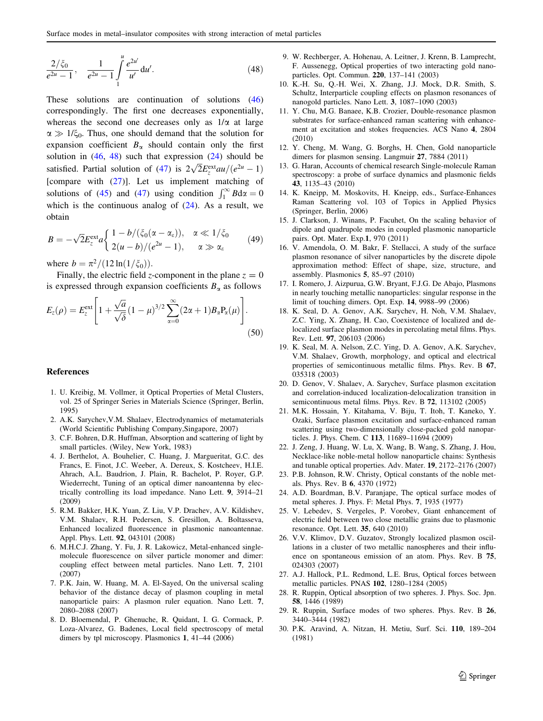<span id="page-10-0"></span>
$$
\frac{2/\xi_0}{e^{2u}-1}, \quad \frac{1}{e^{2u}-1} \int_{1}^{u} \frac{e^{2u'}}{u'} du'.
$$
 (48)

These solutions are continuation of solutions ([46\)](#page-9-0) correspondingly. The first one decreases exponentially, whereas the second one decreases only as  $1/\alpha$  at large  $\alpha \gg 1/\xi_0$ . Thus, one should demand that the solution for expansion coefficient  $B_{\alpha}$  should contain only the first solution in  $(46, 48)$  $(46, 48)$  $(46, 48)$  $(46, 48)$  such that expression  $(24)$  $(24)$  should be satisfied. Partial solution of ([47\)](#page-9-0) is  $2\sqrt{2}E_z^{\text{ext}}au/(e^{2u}-1)$ [compare with [\(27](#page-6-0))]. Let us implement matching of solutions of [\(45](#page-9-0)) and ([47\)](#page-9-0) using condition  $\int_1^{\infty} B dx = 0$ which is the continuous analog of  $(24)$  $(24)$ . As a result, we obtain

$$
B = -\sqrt{2}E_z^{\text{ext}}a\begin{cases} 1 - b/(\xi_0(\alpha - \alpha_\varepsilon)), & \alpha \ll 1/\xi_0 \\ 2(u - b)/(e^{2u} - 1), & \alpha \gg \alpha_\varepsilon \end{cases}
$$
(49)

where  $b = \frac{\pi^2}{12 \ln(1/\xi_0)}$ .

Finally, the electric field z-component in the plane  $z = 0$ is expressed through expansion coefficients  $B_{\alpha}$  as follows

$$
E_z(\rho) = E_z^{\text{ext}} \left[ 1 + \frac{\sqrt{a}}{\sqrt{\delta}} (1 - \mu)^{3/2} \sum_{\alpha=0}^{\infty} (2\alpha + 1) B_{\alpha} P_{\alpha}(\mu) \right].
$$
\n(50)

#### References

- 1. U. Kreibig, M. Vollmer, it Optical Properties of Metal Clusters, vol. 25 of Springer Series in Materials Science (Springer, Berlin, 1995)
- 2. A.K. Sarychev,V.M. Shalaev, Electrodynamics of metamaterials (World Scientific Publishing Company,Singapore, 2007)
- 3. C.F. Bohren, D.R. Huffman, Absorption and scattering of light by small particles. (Wiley, New York, 1983)
- 4. J. Berthelot, A. Bouhelier, C. Huang, J. Margueritat, G.C. des Francs, E. Finot, J.C. Weeber, A. Dereux, S. Kostcheev, H.I.E. Ahrach, A.L. Baudrion, J. Plain, R. Bachelot, P. Royer, G.P. Wiederrecht, Tuning of an optical dimer nanoantenna by electrically controlling its load impedance. Nano Lett. 9, 3914–21 (2009)
- 5. R.M. Bakker, H.K. Yuan, Z. Liu, V.P. Drachev, A.V. Kildishev, V.M. Shalaev, R.H. Pedersen, S. Gresillon, A. Boltasseva, Enhanced localized fluorescence in plasmonic nanoantennae. Appl. Phys. Lett. 92, 043101 (2008)
- 6. M.H.C.J. Zhang, Y. Fu, J. R. Lakowicz, Metal-enhanced singlemolecule fluorescence on silver particle monomer and dimer: coupling effect between metal particles. Nano Lett. 7, 2101 (2007)
- 7. P.K. Jain, W. Huang, M. A. El-Sayed, On the universal scaling behavior of the distance decay of plasmon coupling in metal nanoparticle pairs: A plasmon ruler equation. Nano Lett. 7, 2080–2088 (2007)
- 8. D. Bloemendal, P. Ghenuche, R. Quidant, I. G. Cormack, P. Loza-Alvarez, G. Badenes, Local field spectroscopy of metal dimers by tpl microscopy. Plasmonics 1, 41–44 (2006)
- 9. W. Rechberger, A. Hohenau, A. Leitner, J. Krenn, B. Lamprecht, F. Aussenegg, Optical properties of two interacting gold nanoparticles. Opt. Commun. 220, 137–141 (2003)
- 10. K.-H. Su, Q.-H. Wei, X. Zhang, J.J. Mock, D.R. Smith, S. Schultz, Interparticle coupling effects on plasmon resonances of nanogold particles. Nano Lett. 3, 1087–1090 (2003)
- 11. Y. Chu, M.G. Banaee, K.B. Crozier, Double-resonance plasmon substrates for surface-enhanced raman scattering with enhancement at excitation and stokes frequencies. ACS Nano 4, 2804 (2010)
- 12. Y. Cheng, M. Wang, G. Borghs, H. Chen, Gold nanoparticle dimers for plasmon sensing. Langmuir 27, 7884 (2011)
- 13. G. Haran, Accounts of chemical research Single-molecule Raman spectroscopy: a probe of surface dynamics and plasmonic fields 43, 1135–43 (2010)
- 14. K. Kneipp, M. Moskovits, H. Kneipp, eds., Surface-Enhances Raman Scattering vol. 103 of Topics in Applied Physics (Springer, Berlin, 2006)
- 15. J. Clarkson, J. Winans, P. Facuhet, On the scaling behavior of dipole and quadrupole modes in coupled plasmonic nanoparticle pairs. Opt. Mater. Exp.1, 970 (2011)
- 16. V. Amendola, O. M. Bakr, F. Stellacci, A study of the surface plasmon resonance of silver nanoparticles by the discrete dipole approximation method: Effect of shape, size, structure, and assembly. Plasmonics 5, 85–97 (2010)
- 17. I. Romero, J. Aizpurua, G.W. Bryant, F.J.G. De Abajo, Plasmons in nearly touching metallic nanoparticles: singular response in the limit of touching dimers. Opt. Exp. 14, 9988–99 (2006)
- 18. K. Seal, D. A. Genov, A.K. Sarychev, H. Noh, V.M. Shalaev, Z.C. Ying, X. Zhang, H. Cao, Coexistence of localized and delocalized surface plasmon modes in percolating metal films. Phys. Rev. Lett. 97, 206103 (2006)
- 19. K. Seal, M. A. Nelson, Z.C. Ying, D. A. Genov, A.K. Sarychev, V.M. Shalaev, Growth, morphology, and optical and electrical properties of semicontinuous metallic films. Phys. Rev. B 67, 035318 (2003)
- 20. D. Genov, V. Shalaev, A. Sarychev, Surface plasmon excitation and correlation-induced localization-delocalization transition in semicontinuous metal films. Phys. Rev. B 72, 113102 (2005)
- 21. M.K. Hossain, Y. Kitahama, V. Biju, T. Itoh, T. Kaneko, Y. Ozaki, Surface plasmon excitation and surface-enhanced raman scattering using two-dimensionally close-packed gold nanoparticles. J. Phys. Chem. C 113, 11689–11694 (2009)
- 22. J. Zeng, J. Huang, W. Lu, X. Wang, B. Wang, S. Zhang, J. Hou, Necklace-like noble-metal hollow nanoparticle chains: Synthesis and tunable optical properties. Adv. Mater. 19, 2172–2176 (2007)
- 23. P.B. Johnson, R.W. Christy, Optical constants of the noble metals. Phys. Rev. B 6, 4370 (1972)
- 24. A.D. Boardman, B.V. Paranjape, The optical surface modes of metal spheres. J. Phys. F: Metal Phys. 7, 1935 (1977)
- 25. V. Lebedev, S. Vergeles, P. Vorobev, Giant enhancement of electric field between two close metallic grains due to plasmonic resonance. Opt. Lett. 35, 640 (2010)
- 26. V.V. Klimov, D.V. Guzatov, Strongly localized plasmon oscillations in a cluster of two metallic nanospheres and their influence on spontaneous emission of an atom. Phys. Rev. B 75, 024303 (2007)
- 27. A.J. Hallock, P.L. Redmond, L.E. Brus, Optical forces between metallic particles. PNAS 102, 1280–1284 (2005)
- 28. R. Ruppin, Optical absorption of two spheres. J. Phys. Soc. Jpn. 58, 1446 (1989)
- 29. R. Ruppin, Surface modes of two spheres. Phys. Rev. B 26, 3440–3444 (1982)
- 30. P.K. Aravind, A. Nitzan, H. Metiu, Surf. Sci. 110, 189–204 (1981)